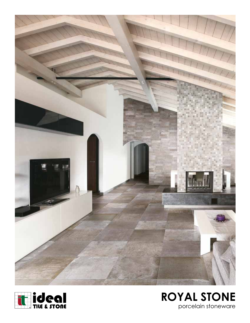



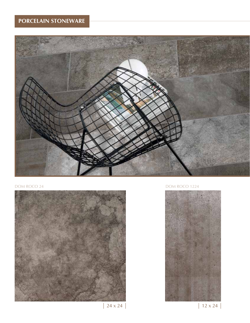



# DOM ROCO 24 DOM ROCO 1224



 $| 24 \times 24 |$   $| 12 \times 24 |$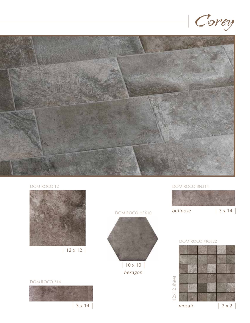





# DOM ROCO BN314



# DOM ROCO MOS22  $\frac{1}{2}$ <br>  $3 \times 14$   $\frac{1}{2}$ <br>  $2 \times 2$

### DOM ROCO 314

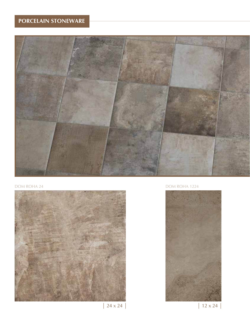



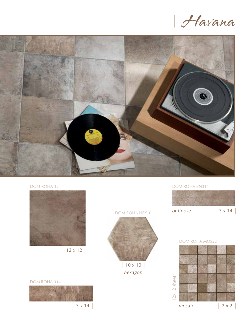



# DOM ROHA 12

![](_page_4_Picture_3.jpeg)

 $\frac{1}{2}$  x 12 |

DOM ROHA 314

![](_page_4_Picture_6.jpeg)

# DOM ROHA HEX10

![](_page_4_Picture_8.jpeg)

|  $10 \times 10$ *hexagon*

# DOM ROHA BN314

![](_page_4_Picture_11.jpeg)

# DOM ROHA MOS22

![](_page_4_Figure_13.jpeg)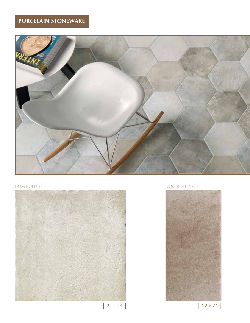![](_page_5_Picture_1.jpeg)

![](_page_5_Picture_3.jpeg)

# DOM ROLU 24 DOM ROLU 1224

![](_page_5_Picture_5.jpeg)

 $| 24 \times 24 |$   $| 12 \times 24 |$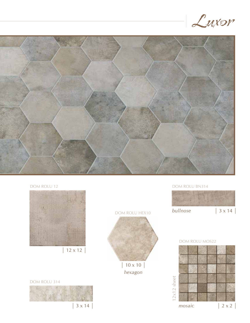![](_page_6_Picture_0.jpeg)

![](_page_6_Picture_1.jpeg)

DOM ROLU HEX10

 $|10 \times 10|$ *hexagon*

![](_page_6_Picture_2.jpeg)

DOM ROLU 314

![](_page_6_Picture_4.jpeg)

DOM ROLU BN314

![](_page_6_Picture_6.jpeg)

## DOM ROLU MOS22

![](_page_6_Figure_8.jpeg)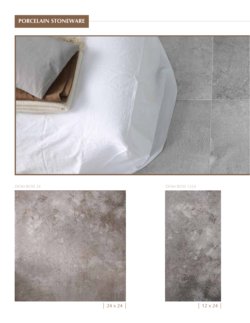![](_page_7_Picture_1.jpeg)

![](_page_7_Picture_3.jpeg)

# DOM ROSI 24 DOM ROSI 1224

![](_page_7_Picture_5.jpeg)

 $| 24 \times 24 |$   $| 12 \times 24 |$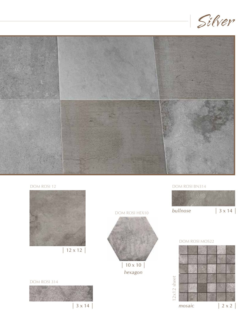![](_page_8_Picture_0.jpeg)

![](_page_8_Picture_1.jpeg)

DOM ROSI HEX10

| 10 x 10 | *hexagon*

# DOM ROSI 12

![](_page_8_Picture_3.jpeg)

| 12 x 12 |

DOM ROSI 314

![](_page_8_Picture_6.jpeg)

# DOM ROSI BN314

![](_page_8_Picture_9.jpeg)

## DOM ROSI MOS22

![](_page_8_Figure_11.jpeg)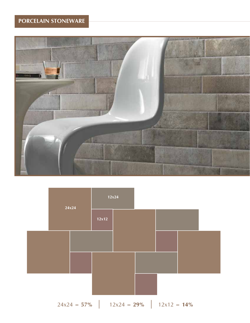![](_page_9_Picture_1.jpeg)

![](_page_9_Figure_2.jpeg)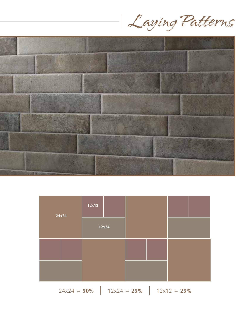Laying Patterns

![](_page_10_Picture_1.jpeg)

![](_page_10_Figure_2.jpeg)

 $24x24 = 50\%$  |  $12x24 = 25\%$  |  $12x12 = 25\%$